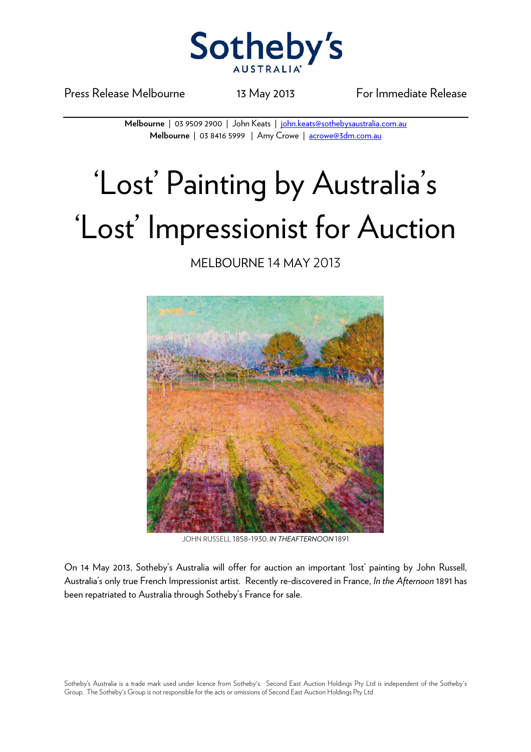

Press Release Melbourne 13 May 2013 For Immediate Release

**Melbourne** | 03 9509 2900 | John Keats | john.keats@sothebysaustralia.com.au **Melbourne** | 03 8416 5999 | Amy Crowe | acrowe@3dm.com.au

## 'Lost' Painting by Australia's 'Lost' Impressionist for Auction

## MELBOURNE 14 MAY 2013



JOHN RUSSELL 1858-1930, *IN THEAFTERNOON* 1891

On 14 May 2013, Sotheby's Australia will offer for auction an important 'lost' painting by John Russell, Australia's only true French Impressionist artist. Recently re-discovered in France, *In the Afternoon* 1891 has been repatriated to Australia through Sotheby's France for sale.

Sotheby's Australia is a trade mark used under licence from Sotheby's. Second East Auction Holdings Pty Ltd is independent of the Sotheby's Group. The Sotheby's Group is not responsible for the acts or omissions of Second East Auction Holdings Pty Ltd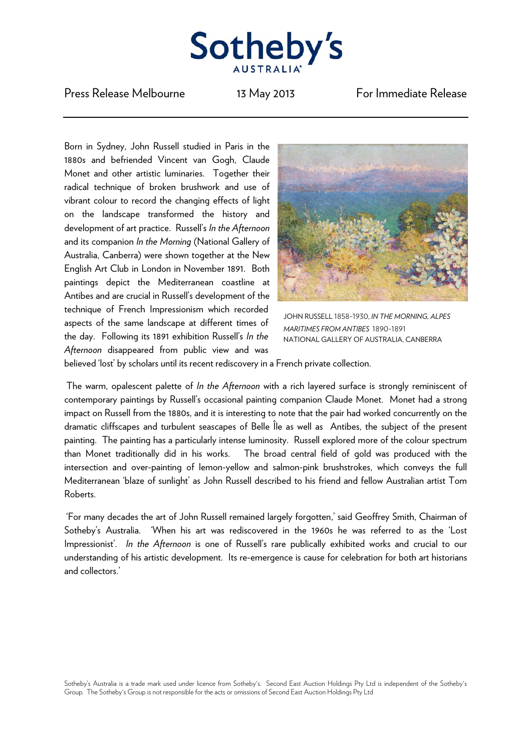

Press Release Melbourne 13 May 2013 For Immediate Release

Born in Sydney, John Russell studied in Paris in the 1880s and befriended Vincent van Gogh, Claude Monet and other artistic luminaries. Together their radical technique of broken brushwork and use of vibrant colour to record the changing effects of light on the landscape transformed the history and development of art practice. Russell's *In the Afternoon* and its companion *In the Morning* (National Gallery of Australia, Canberra) were shown together at the New English Art Club in London in November 1891. Both paintings depict the Mediterranean coastline at Antibes and are crucial in Russell's development of the technique of French Impressionism which recorded aspects of the same landscape at different times of the day. Following its 1891 exhibition Russell's *In the Afternoon* disappeared from public view and was



JOHN RUSSELL 1858-1930, *IN THE MORNING, ALPES MARITIMES FROM ANTIBES* 1890-1891 NATIONAL GALLERY OF AUSTRALIA, CANBERRA

believed 'lost' by scholars until its recent rediscovery in a French private collection.

 The warm, opalescent palette of *In the Afternoon* with a rich layered surface is strongly reminiscent of contemporary paintings by Russell's occasional painting companion Claude Monet. Monet had a strong impact on Russell from the 1880s, and it is interesting to note that the pair had worked concurrently on the dramatic cliffscapes and turbulent seascapes of Belle Île as well as Antibes, the subject of the present painting. The painting has a particularly intense luminosity. Russell explored more of the colour spectrum than Monet traditionally did in his works. The broad central field of gold was produced with the intersection and over-painting of lemon-yellow and salmon-pink brushstrokes, which conveys the full Mediterranean 'blaze of sunlight' as John Russell described to his friend and fellow Australian artist Tom Roberts.

'For many decades the art of John Russell remained largely forgotten,' said Geoffrey Smith, Chairman of Sotheby's Australia. 'When his art was rediscovered in the 1960s he was referred to as the 'Lost Impressionist'. *In the Afternoon* is one of Russell's rare publically exhibited works and crucial to our understanding of his artistic development. Its re-emergence is cause for celebration for both art historians and collectors.'